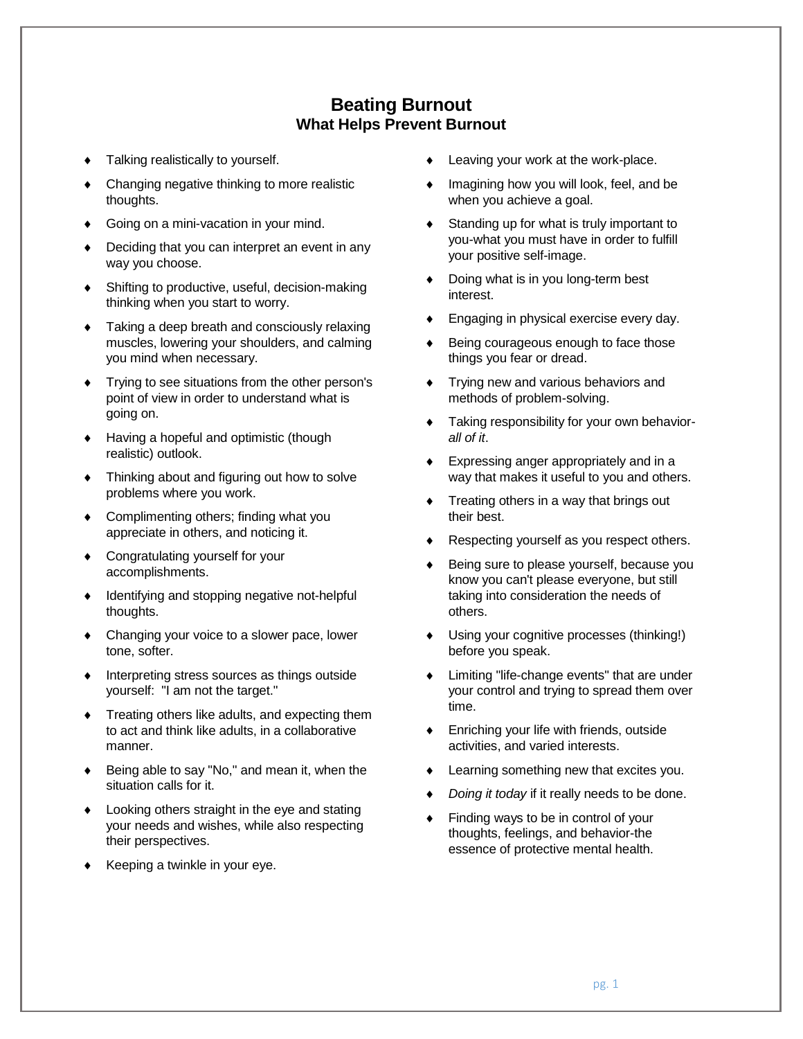## **Beating Burnout What Helps Prevent Burnout**

- Talking realistically to yourself.
- Changing negative thinking to more realistic thoughts.
- Going on a mini-vacation in your mind.
- Deciding that you can interpret an event in any way you choose.
- Shifting to productive, useful, decision-making thinking when you start to worry.
- Taking a deep breath and consciously relaxing muscles, lowering your shoulders, and calming you mind when necessary.
- Trying to see situations from the other person's point of view in order to understand what is going on.
- Having a hopeful and optimistic (though realistic) outlook.
- Thinking about and figuring out how to solve problems where you work.
- Complimenting others; finding what you appreciate in others, and noticing it.
- Congratulating yourself for your accomplishments.
- $\bullet$  Identifying and stopping negative not-helpful thoughts.
- Changing your voice to a slower pace, lower tone, softer.
- Interpreting stress sources as things outside yourself: "I am not the target."
- Treating others like adults, and expecting them to act and think like adults, in a collaborative manner.
- Being able to say "No," and mean it, when the situation calls for it.
- Looking others straight in the eye and stating your needs and wishes, while also respecting their perspectives.
- $\bullet$  Keeping a twinkle in your eye.
- Leaving your work at the work-place.
- Imagining how you will look, feel, and be when you achieve a goal.
- Standing up for what is truly important to you-what you must have in order to fulfill your positive self-image.
- Doing what is in you long-term best interest.
- Engaging in physical exercise every day.
- Being courageous enough to face those things you fear or dread.
- **Trying new and various behaviors and** methods of problem-solving.
- Taking responsibility for your own behavior*all of it*.
- Expressing anger appropriately and in a way that makes it useful to you and others.
- Treating others in a way that brings out their best.
- Respecting yourself as you respect others.
- Being sure to please yourself, because you know you can't please everyone, but still taking into consideration the needs of others.
- Using your cognitive processes (thinking!) before you speak.
- Limiting "life-change events" that are under your control and trying to spread them over time.
- Enriching your life with friends, outside activities, and varied interests.
- Learning something new that excites you.
- *Doing it today* if it really needs to be done.
- Finding ways to be in control of your thoughts, feelings, and behavior-the essence of protective mental health.